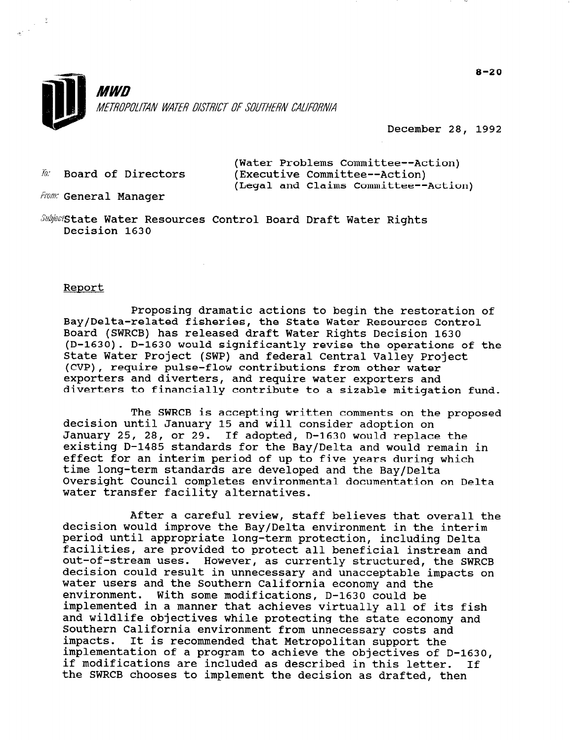

December 28, 1992

 $\bar{h}$ : Board of Directors

(Water Problems Committee--Action) (Executive Committee--Action) (Legal and Claims Committee--Action)

From: General Manager

 $\mathit{Subject}$ State Water Resources Control Board Draft Water Rights Decision 1630

#### Report

 $\frac{1}{\sqrt{2}}$ 

Proposing dramatic actions to begin the restoration of Bay/Delta-related fisheries, the State Water Resources Control Board (SWRCB) has released draft Water Rights Decision 1630 (D-1630). D-1630 would significantly revise the operations of the State Water Project (SWP) and federal Central Valley Project (CVP), require pulse-flow contributions from other water exporters and diverters, and require water exporters and diverters to financially contribute to a sizable mitigation fund.

The SWRCB is accepting written comments on the proposed decision until January 15 and will consider adoption on January 25, 28, or 29. If adopted, D-1630 would replace the existing D-1485 standards for the Bay/Delta and would remain in effect for an interim period of up to five years during which time long-term standards are developed and the Bay/Delta Oversight Council completes environmental documentation on Delta water transfer facility alternatives.

After a careful review, staff believes that overall the decision would improve the Bay/Delta environment in the interim period until appropriate long-term protection, including Delta facilities, are provided to protect all beneficial instream and natilities, are provided to protect all beneficial instream and<br>out-of-stream uses. However, as currently structured, the SWBCB out-of-stream uses. nowever, as currently structured, the swkch decision could result in unnecessary and unacceptable impacts on<br>water users and the Southern California economy and the environment. With some modifications, D-1630 could be implemented in a manner that achieves virtually all of its fish and wildlife objectives while protecting the state of ICS IIS and wildlife objectives while protecting the state economy and Southern California environment from unnecessary costs and<br>impacts. It is recommended that Metropolitan support the It is recommended that Metropolitan support the implementation of a program to achieve the objectives of D-1630, if modifications are included as described in this letter. If<br>the SWRCB chooses to implement the decision as drafted, then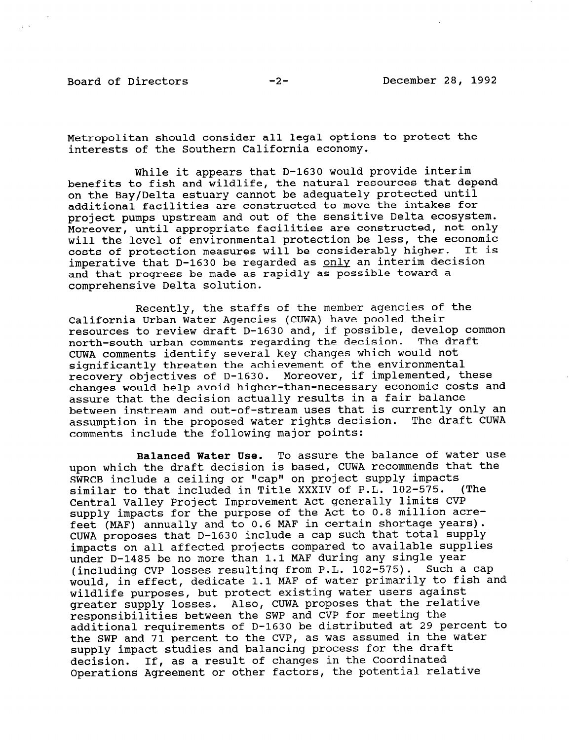Metropolitan should consider all legal options to protect the interests of the Southern California economy.

While it appears that D-1630 would provide interim benefits to fish and wildlife, the natural resources that depend on the Bay/Delta estuary cannot be adequately protected until additional facilities are constructed to move the intakes for project pumps upstream and out of the sensitive Delta ecosystem. Moreover, until appropriate facilities are constructed, not only will the level of environmental protection be less, the economic costs of protection measures will be considerably higher. It is imperative that D-1630 be regarded as only an interim decision and that progress be made as rapidly as possible toward a comprehensive Delta solution.

Recently, the staffs of the member agencies of the California Urban Water Agencies (CUWA) have pooled their resources to review draft D-1630 and, if possible, develop common north-south urban comments regarding the decision. The draft CUWA comments identify several key changes which would not significantly threaten the achievement of the environment recovery objectives of D-1630. Moreover, if implemented, these changes would help avoid higher-than-necessary economic costs and assure that the decision actually results in a fair balance between instream and out-of-stream uses that is currently only an assumption in the proposed water rights decision. The draft CUWA comments include the following major points:

Balanced Water Use. To assure the balance of water use upon which the draft decision is based, CUWA recommends that the SWRCB include a ceiling or "cap" on project supply impacts similar to that included in Title XXXIV of P.L. 102-575. (The Central Valley Project Improvement Act generally limits CVP supply impacts for the purpose of the Act to 0.8 million acrefeet (MAF) annually and to 0.6 MAF in certain shortage years). CUWA proposes that D-1630 include a cap such that total supply impacts on all affected projects compared to available supplies under D-1485 be no more than 1.1 MAF during any single year (including CVP losses resulting from P.L. 102-575). Such a cap would, in effect, dedicate 1.1 MAF of water primarily to fish and wildlife purposes, but protect existing water users against greater supply losses. Also, CUWA proposes that the relative responsibilities between the SWP and CVP for meeting the additional requirements of D-1630 be distributed at 29 percent to the SWP and 71 percent to the CVP, as was assumed in the water supply impact studies and balancing process for the draft decision. If, as a result of changes in the Coordinated Operations Agreement or other factors, the potential relative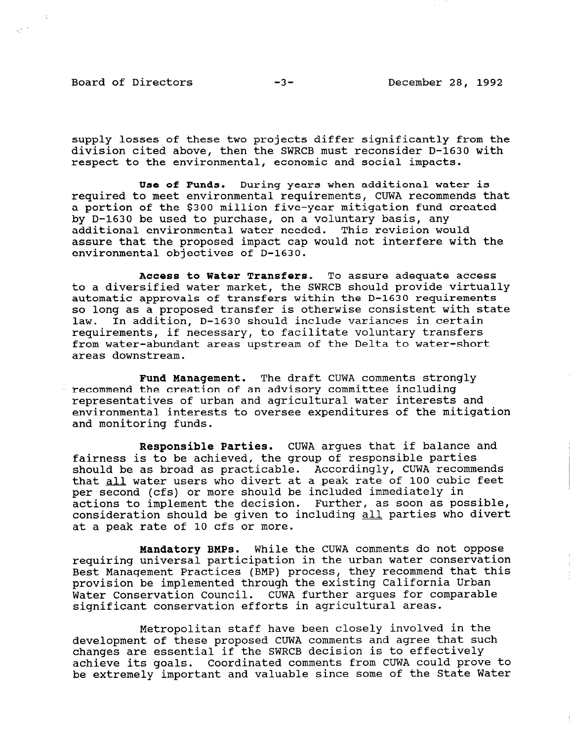Board of Directors  $-3-$  December 28, 1992

 $\hat{\gamma}^{(1)}$ 

supply losses of these two projects differ significantly from the division cited above, then the SWRCB must reconsider D-1630 with respect to the environmental, economic and social impacts.

Use of Funds. During years when additional water is required to meet environmental requirements, CUWA recommends that a portion of the \$300 million five-year mitigation fund created by D-1630 be used to purchase, on a voluntary basis, any additional environmental water needed. This revision would assure that the proposed impact cap would not interfere with the environmental objectives of D-1630.

Access to Water Transfers. To assure adequate access to a diversified water market, the SWRCB should provide virtually automatic approvals of transfers within the D-1630 requirements so long as a proposed transfer is otherwise consistent with state law. In addition, D-1630 should include variances in certain requirements, if necessary, to facilitate voluntary transfers from water-abundant areas upstream of the Delta to water-short areas downstream.

Fund Management. The draft CUWA comments strongly recommend the creation of an advisory committee including representatives of urban and agricultural water interests and environmental interests to oversee expenditures of the mitigation and monitoring funds.

Responsible Parties. CUWA argues that if balance and fairness is to be achieved, the group of responsible parties should be as broad as practicable. Accordingly, CUWA recommends that all water users who divert at a peak rate of 100 cubic feet per second (cfs) or more should be included immediately in actions to implement the decision. Further, as soon as possible, consideration should be given to including all parties who divert at a peak rate of 10 cfs or more.

Mandatory BMPs. While the CUWA comments do not oppose requiring university in the communication in the urban water conservation in the urban water conservation Best Management Practices (BMP) process, they recommend that this Best Management Practices (BMP) process, they recommend that this provision be implemented through the existing California Urban Water Conservation Council. CUWA further argues for comparable significant conservation efforts in agricultural areas.

Metropolitan staff have been closely involved in the development of these proposed CUWA comments and agree that such development of these proposed cowa comments and agree that changes are essential if the SWRCD decision is to effectively achieve its goals. Coordinated comments from CUWA could prove to<br>be extremely important and valuable since some of the State Water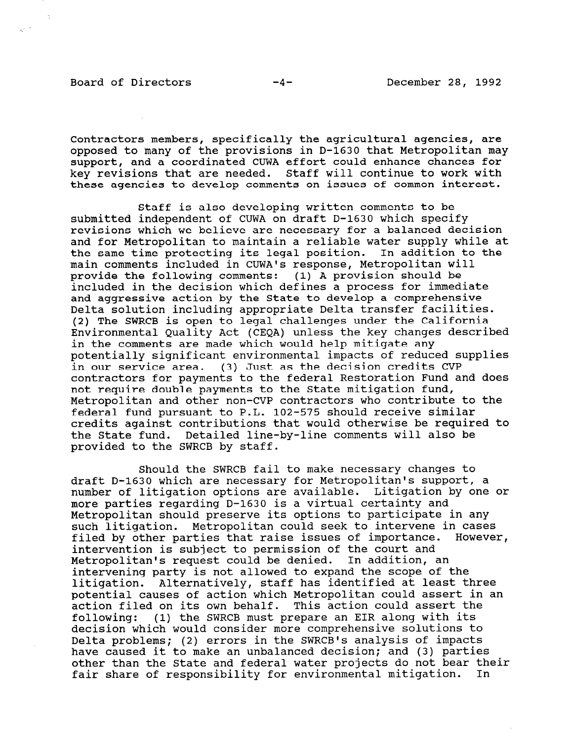## Board of Directors  $-4-$  December 28, 1992

 $\hat{\sigma}_2^{(n)}$  .

Contractors members, specifically the agricultural agencies, are opposed to many of the provisions in D-1630 that Metropolitan may support, and a coordinated CUWA effort could enhance chances for key revisions that are needed. Staff will continue to work with these agencies to develop comments on issues of common interest.

Staff is also developing written comments to be submitted independent of CUWA on draft D-1630 which specify revisions which we believe are necessary for a balanced decision and for Metropolitan to maintain a reliable water supply while at the same time protecting its legal position. In addition to the main comments included in CUWAls response, Metropolitan will provide the following comments: (1) A provision should be included in the decision which defines a process for immediate and aggressive action by the State to develop a comprehensive Delta solution including appropriate Delta transfer facilities. (2) The SWRCB is open to legal challenges under the California Environmental Quality Act (CEQA) unless the key changes described in the comments are made which would help mitigate any potentially significant environmental impacts of reduced supplies in our service area. (3) Just as the decision credits CVP contractors for payments to the federal Restoration Fund and does not require double payments to the State mitigation fund, Metropolitan and other non-CVP contractors who contribute to the federal fund pursuant to P.L. 102-575 should receive similar credits against contributions that would otherwise be required to the State fund. Detailed line-by-line comments will also be provided to the SWRCB by staff.

Should the SWRCB fail to make necessary changes to draft D-1630 which are necessary for Metropolitan's support, a number of litigation options are available. Litigation by one or more parties regarding D-1630 is a virtual certainty and Metropolitan should preserve its options to participate in any such litigation. Metropolitan could seek to intervene in cases filed by other parties that raise issues of importance. However, intervention is subject to permission of the court and Metropolitan's request could be denied. In addition, an netroportican s request courd be denied. In addition, an litigation. Alternatively, staff has identified at least three litigation. Alternatively, staff has identified at least three<br>potential causes of action which Metropolitan could assert in an potential causes of action which metropolitan could assert in<br>esting filed on its own behalf. This action could assert the dCLION IIIEQ ON ILS OWN DENAIL. THIS ACCION COULQ ASSELUTE following: (1) the SWRCB must prepare an EIR along with its decision which would consider more comprehensive solutions to Delta problems; (2) errors in the SWRCB's analysis of impacts have caused it to make an unbalanced decision; and (3) parties<br>other than the State and federal water projects do not bear their fair share of responsibility for environmental mitigation. In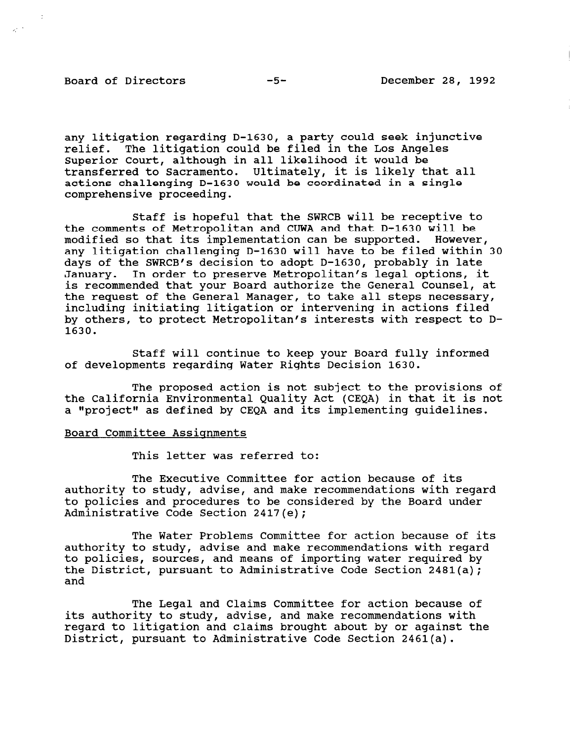# Board of Directors -5- December 28, 1992

 $\kappa^{2/3}$ 

any litigation regarding D-1630, a party could seek injunctive relief. The litigation could be filed in the Los Angeles Superior Court, although in all likelihood it would be transferred to Sacramento. Ultimately, it is likely that all actions challenging D-1630 would be coordinated in a single comprehensive proceeding.

Staff is hopeful that the SWRCB will be receptive to the comments of Metropolitan and CUWA and that D-1630 will be modified so that its implementation can be supported. However, any litigation challenging D-1630 will have to be filed within 30 days of the SWRCB's decision to adopt D-1630, probably in late January. In order to preserve Metropolitan's legal options, it is recommended that your Board authorize the General Counsel, at the request of the General Manager, to take all steps necessary, including initiating litigation or intervening in actions filed by others, to protect Metropolitan's interests with respect to D-1630.

Staff will continue to keep your Board fully informed of developments regarding Water Rights Decision 1630.

The proposed action is not subject to the provisions of the California Environmental Quality Act (CEQA) in that it is not a "project" as defined by CEQA and its implementing guidelines.

### Board Committee Assignments

This letter was referred to:

The Executive Committee for action because of its authority to study, advise, and make recommendations with regard to policies and procedures to be considered by the Board under Administrative Code Section 2417(e);

The Water Problems Committee for action because of its authority to study, advise and make recommendations with regard authority to study, auvise and make recommendations with regard<br>to policies, sources, and means of importing water required by to policies, soulces, and means of importing water required. the District, pursuant to Administrative Code Section 2481(a);<br>and

The Legal and Claims Committee for action because of its authority to study, advise, and make recommendations with regard to litigation and claims become recommendations with  $\sim$ District, pursuant to Administrative Code Section 2461(a).